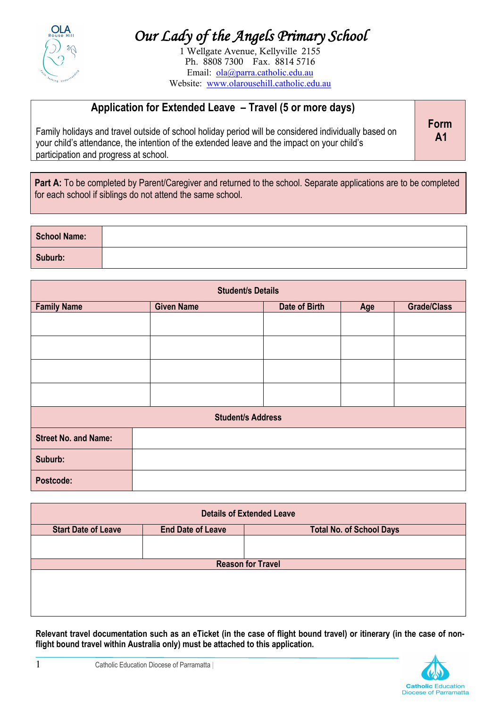

## *Our Lady of the Angels Primary School*

1 Wellgate Avenue, Kellyville 2155 Ph. 8808 7300 Fax. 8814 5716 Email: ola@parra.catholic.edu.au Website: www.olarousehill.catholic.edu.au

### **Application for Extended Leave – Travel (5 or more days)**

Family holidays and travel outside of school holiday period will be considered individually based on your child's attendance, the intention of the extended leave and the impact on your child's participation and progress at school.

**Form A1**

Part A: To be completed by Parent/Caregiver and returned to the school. Separate applications are to be completed for each school if siblings do not attend the same school.

| <b>School Name:</b> |  |
|---------------------|--|
| Suburb:             |  |

| <b>Student/s Details</b>    |                   |               |     |                    |
|-----------------------------|-------------------|---------------|-----|--------------------|
| <b>Family Name</b>          | <b>Given Name</b> | Date of Birth | Age | <b>Grade/Class</b> |
|                             |                   |               |     |                    |
|                             |                   |               |     |                    |
|                             |                   |               |     |                    |
|                             |                   |               |     |                    |
| <b>Student/s Address</b>    |                   |               |     |                    |
| <b>Street No. and Name:</b> |                   |               |     |                    |
| Suburb:                     |                   |               |     |                    |
| Postcode:                   |                   |               |     |                    |

|                            |                          | <b>Details of Extended Leave</b> |
|----------------------------|--------------------------|----------------------------------|
| <b>Start Date of Leave</b> | <b>End Date of Leave</b> | <b>Total No. of School Days</b>  |
|                            |                          |                                  |
|                            |                          | <b>Reason for Travel</b>         |
|                            |                          |                                  |
|                            |                          |                                  |

**Relevant travel documentation such as an eTicket (in the case of flight bound travel) or itinerary (in the case of nonflight bound travel within Australia only) must be attached to this application.**

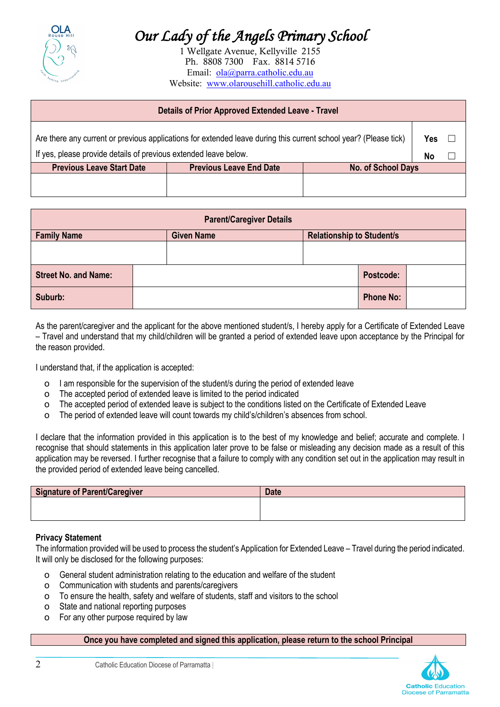

# *Our Lady of the Angels Primary School*

1 Wellgate Avenue, Kellyville 2155 Ph. 8808 7300 Fax. 8814 5716 Email: ola@parra.catholic.edu.au Website: www.olarousehill.catholic.edu.au

| <b>Details of Prior Approved Extended Leave - Travel</b> |  |  |
|----------------------------------------------------------|--|--|
|                                                          |  |  |

| Are there any current or previous applications for extended leave during this current school year? (Please tick) |                                |                           |    |  |
|------------------------------------------------------------------------------------------------------------------|--------------------------------|---------------------------|----|--|
| If yes, please provide details of previous extended leave below.                                                 |                                |                           | No |  |
| <b>Previous Leave Start Date</b>                                                                                 | <b>Previous Leave End Date</b> | <b>No. of School Days</b> |    |  |
|                                                                                                                  |                                |                           |    |  |
|                                                                                                                  |                                |                           |    |  |

| <b>Parent/Caregiver Details</b> |  |                   |                                  |                  |  |
|---------------------------------|--|-------------------|----------------------------------|------------------|--|
| <b>Family Name</b>              |  | <b>Given Name</b> | <b>Relationship to Student/s</b> |                  |  |
|                                 |  |                   |                                  |                  |  |
| <b>Street No. and Name:</b>     |  |                   |                                  | Postcode:        |  |
| Suburb:                         |  |                   |                                  | <b>Phone No:</b> |  |

As the parent/caregiver and the applicant for the above mentioned student/s, I hereby apply for a Certificate of Extended Leave – Travel and understand that my child/children will be granted a period of extended leave upon acceptance by the Principal for the reason provided.

I understand that, if the application is accepted:

- o I am responsible for the supervision of the student/s during the period of extended leave
- o The accepted period of extended leave is limited to the period indicated
- o The accepted period of extended leave is subject to the conditions listed on the Certificate of Extended Leave
- o The period of extended leave will count towards my child's/children's absences from school.

I declare that the information provided in this application is to the best of my knowledge and belief; accurate and complete. I recognise that should statements in this application later prove to be false or misleading any decision made as a result of this application may be reversed. I further recognise that a failure to comply with any condition set out in the application may result in the provided period of extended leave being cancelled.

| Signature of Parent/Caregiver | <b>Date</b> |
|-------------------------------|-------------|
|                               |             |
|                               |             |

#### **Privacy Statement**

The information provided will be used to process the student's Application for Extended Leave – Travel during the period indicated. It will only be disclosed for the following purposes:

- o General student administration relating to the education and welfare of the student
- o Communication with students and parents/caregivers
- o To ensure the health, safety and welfare of students, staff and visitors to the school
- o State and national reporting purposes
- o For any other purpose required by law

#### **Once you have completed and signed this application, please return to the school Principal**